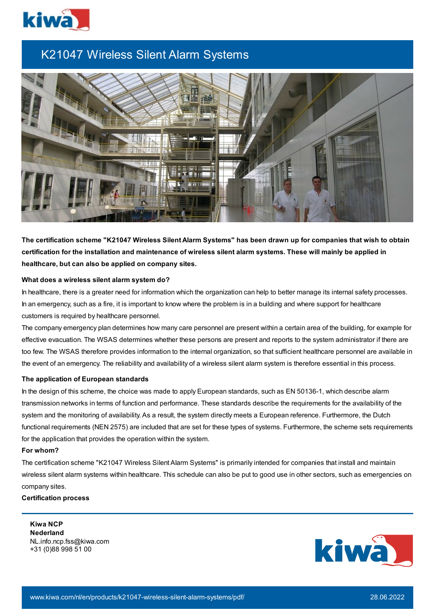

# K21047 Wireless Silent Alarm Systems



The certification scheme "K21047 Wireless Silent Alarm Systems" has been drawn up for companies that wish to obtain certification for the installation and maintenance of wireless silent alarm systems. These will mainly be applied in **healthcare, but can also be applied on company sites.**

#### **What does a wireless silent alarm system do?**

In healthcare, there is a greater need for information which the organization can help to better manage its internal safety processes. In an emergency, such as a fire, it is important to know where the problem is in a building and where support for healthcare customers is required by healthcare personnel.

The company emergency plan determines how many care personnel are present within a certain area of the building, for example for effective evacuation. The WSAS determines whether these persons are present and reports to the system administrator if there are too few. The WSAS therefore provides information to the internal organization, so that sufficient healthcare personnel are available in the event of an emergency. The reliability and availability of a wireless silent alarm system is therefore essential in this process.

### **The application of European standards**

In the design of this scheme, the choice was made to apply European standards, such as EN 50136-1, which describe alarm transmission networks in terms of function and performance. These standards describe the requirements for the availability of the system and the monitoring of availability. As a result, the system directly meets a European reference. Furthermore, the Dutch functional requirements (NEN 2575) are included that are set for these types of systems. Furthermore, the scheme sets requirements for the application that provides the operation within the system.

## **For whom?**

The certification scheme "K21047 Wireless Silent Alarm Systems" is primarily intended for companies that install and maintain wireless silent alarm systems within healthcare. This schedule can also be put to good use in other sectors, such as emergencies on company sites.

**Certification process**

**Kiwa NCP Nederland** NL.info.ncp.fss@kiwa.com +31 (0)88 998 51 00